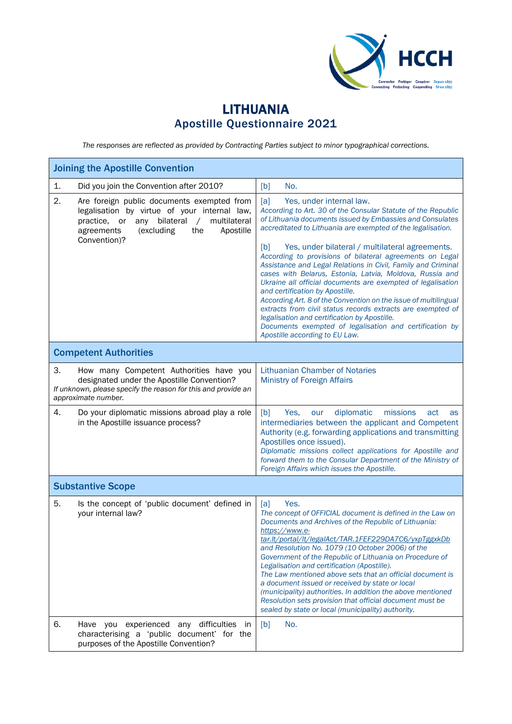

## LITHUANIA Apostille Questionnaire 2021

*The responses are reflected as provided by Contracting Parties subject to minor typographical corrections.*

| <b>Joining the Apostille Convention</b>                                                                                                                                                                                               |                                                                                                                                                                                                                                                                                                                                                                                                                                                                                                                                                                                                                                                                                                                                                                                                                                                                |  |  |  |
|---------------------------------------------------------------------------------------------------------------------------------------------------------------------------------------------------------------------------------------|----------------------------------------------------------------------------------------------------------------------------------------------------------------------------------------------------------------------------------------------------------------------------------------------------------------------------------------------------------------------------------------------------------------------------------------------------------------------------------------------------------------------------------------------------------------------------------------------------------------------------------------------------------------------------------------------------------------------------------------------------------------------------------------------------------------------------------------------------------------|--|--|--|
| Did you join the Convention after 2010?<br>1.                                                                                                                                                                                         | [b]<br>No.                                                                                                                                                                                                                                                                                                                                                                                                                                                                                                                                                                                                                                                                                                                                                                                                                                                     |  |  |  |
| 2.<br>Are foreign public documents exempted from<br>legalisation by virtue of your internal law,<br>bilateral<br>multilateral<br>practice,<br>or<br>any<br>$\sqrt{2}$<br>(excluding<br>the<br>Apostille<br>agreements<br>Convention)? | [a]<br>Yes, under internal law.<br>According to Art. 30 of the Consular Statute of the Republic<br>of Lithuania documents issued by Embassies and Consulates<br>accreditated to Lithuania are exempted of the legalisation.<br>Yes, under bilateral / multilateral agreements.<br>[b]<br>According to provisions of bilateral agreements on Legal<br>Assistance and Legal Relations in Civil, Family and Criminal<br>cases with Belarus, Estonia, Latvia, Moldova, Russia and<br>Ukraine all official documents are exempted of legalisation<br>and certification by Apostille.<br>According Art. 8 of the Convention on the issue of multilingual<br>extracts from civil status records extracts are exempted of<br>legalisation and certification by Apostille.<br>Documents exempted of legalisation and certification by<br>Apostille according to EU Law. |  |  |  |
| <b>Competent Authorities</b>                                                                                                                                                                                                          |                                                                                                                                                                                                                                                                                                                                                                                                                                                                                                                                                                                                                                                                                                                                                                                                                                                                |  |  |  |
| 3.<br>How many Competent Authorities have you<br>designated under the Apostille Convention?<br>If unknown, please specify the reason for this and provide an<br>approximate number.                                                   | <b>Lithuanian Chamber of Notaries</b><br><b>Ministry of Foreign Affairs</b>                                                                                                                                                                                                                                                                                                                                                                                                                                                                                                                                                                                                                                                                                                                                                                                    |  |  |  |
| 4.<br>Do your diplomatic missions abroad play a role<br>in the Apostille issuance process?                                                                                                                                            | diplomatic<br>[b]<br>missions<br>Yes.<br>our<br>act<br>as<br>intermediaries between the applicant and Competent<br>Authority (e.g. forwarding applications and transmitting<br>Apostilles once issued).<br>Diplomatic missions collect applications for Apostille and<br>forward them to the Consular Department of the Ministry of<br>Foreign Affairs which issues the Apostille.                                                                                                                                                                                                                                                                                                                                                                                                                                                                             |  |  |  |
| <b>Substantive Scope</b>                                                                                                                                                                                                              |                                                                                                                                                                                                                                                                                                                                                                                                                                                                                                                                                                                                                                                                                                                                                                                                                                                                |  |  |  |
| 5.<br>Is the concept of 'public document' defined in<br>your internal law?                                                                                                                                                            | Yes.<br>[a]<br>The concept of OFFICIAL document is defined in the Law on<br>Documents and Archives of the Republic of Lithuania:<br>https://www.e-<br>tar.lt/portal/lt/legalAct/TAR.1FEF229DA7C6/yxpTggxkDb<br>and Resolution No. 1079 (10 October 2006) of the<br>Government of the Republic of Lithuania on Procedure of<br>Legalisation and certification (Apostille).<br>The Law mentioned above sets that an official document is<br>a document issued or received by state or local<br>(municipality) authorities. In addition the above mentioned<br>Resolution sets provision that official document must be<br>sealed by state or local (municipality) authority.                                                                                                                                                                                     |  |  |  |
| 6.<br>Have you experienced any difficulties in<br>characterising a 'public document' for the<br>purposes of the Apostille Convention?                                                                                                 | No.<br>[b]                                                                                                                                                                                                                                                                                                                                                                                                                                                                                                                                                                                                                                                                                                                                                                                                                                                     |  |  |  |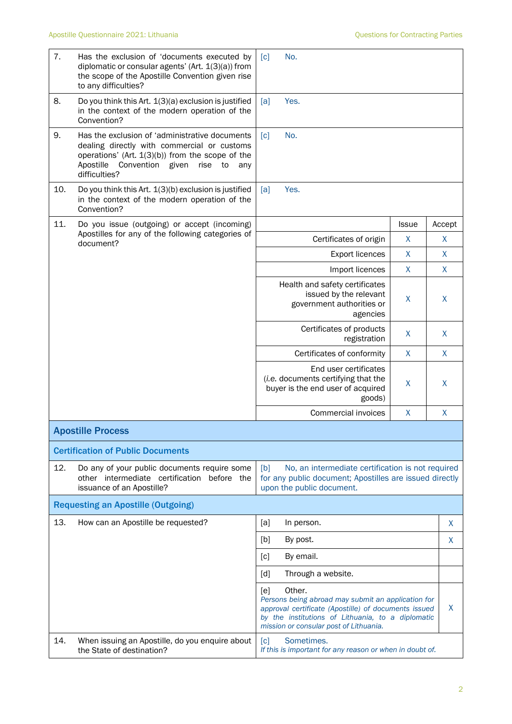| 7.  | Has the exclusion of 'documents executed by<br>diplomatic or consular agents' (Art. 1(3)(a)) from<br>the scope of the Apostille Convention given rise<br>to any difficulties?                                                                                                | No.<br>$\lceil c \rceil$                                                                                                                                                                                                   |              |              |
|-----|------------------------------------------------------------------------------------------------------------------------------------------------------------------------------------------------------------------------------------------------------------------------------|----------------------------------------------------------------------------------------------------------------------------------------------------------------------------------------------------------------------------|--------------|--------------|
| 8.  | Do you think this Art. 1(3)(a) exclusion is justified<br>in the context of the modern operation of the<br>Convention?                                                                                                                                                        | Yes.<br>[a]                                                                                                                                                                                                                |              |              |
| 9.  | Has the exclusion of 'administrative documents<br>dealing directly with commercial or customs<br>operations' (Art. $1(3)(b)$ ) from the scope of the<br>Apostille<br>Convention<br>rise<br>given<br>to<br>any<br>difficulties?                                               | $\lceil c \rceil$<br>No.                                                                                                                                                                                                   |              |              |
| 10. | Do you think this Art. 1(3)(b) exclusion is justified<br>in the context of the modern operation of the<br>Convention?                                                                                                                                                        | Yes.<br>[a]                                                                                                                                                                                                                |              |              |
| 11. | Do you issue (outgoing) or accept (incoming)                                                                                                                                                                                                                                 |                                                                                                                                                                                                                            | <b>Issue</b> | Accept       |
|     | Apostilles for any of the following categories of<br>document?                                                                                                                                                                                                               | Certificates of origin                                                                                                                                                                                                     | X            | X            |
|     |                                                                                                                                                                                                                                                                              | <b>Export licences</b>                                                                                                                                                                                                     | X            | X            |
|     |                                                                                                                                                                                                                                                                              | Import licences                                                                                                                                                                                                            | X            | X            |
|     |                                                                                                                                                                                                                                                                              | Health and safety certificates<br>issued by the relevant<br>government authorities or<br>agencies                                                                                                                          | X            | X            |
|     |                                                                                                                                                                                                                                                                              | Certificates of products<br>registration                                                                                                                                                                                   | X            | X            |
|     |                                                                                                                                                                                                                                                                              | Certificates of conformity                                                                                                                                                                                                 | X            | X            |
|     |                                                                                                                                                                                                                                                                              | End user certificates<br>(i.e. documents certifying that the<br>buyer is the end user of acquired<br>goods)                                                                                                                | X            | X            |
|     |                                                                                                                                                                                                                                                                              | Commercial invoices                                                                                                                                                                                                        | $\mathsf{X}$ | $\mathsf{X}$ |
|     | <b>Apostille Process</b>                                                                                                                                                                                                                                                     |                                                                                                                                                                                                                            |              |              |
|     | <b>Certification of Public Documents</b>                                                                                                                                                                                                                                     |                                                                                                                                                                                                                            |              |              |
| 12. | Do any of your public documents require some<br>No, an intermediate certification is not required<br>[b]<br>other intermediate certification before the<br>for any public document; Apostilles are issued directly<br>issuance of an Apostille?<br>upon the public document. |                                                                                                                                                                                                                            |              |              |
|     | <b>Requesting an Apostille (Outgoing)</b>                                                                                                                                                                                                                                    |                                                                                                                                                                                                                            |              |              |
| 13. | How can an Apostille be requested?                                                                                                                                                                                                                                           | [a]<br>In person.                                                                                                                                                                                                          |              | X            |
|     |                                                                                                                                                                                                                                                                              | $[b]$<br>By post.                                                                                                                                                                                                          |              | X            |
|     |                                                                                                                                                                                                                                                                              | By email.<br>[c]                                                                                                                                                                                                           |              |              |
|     |                                                                                                                                                                                                                                                                              | Through a website.<br>[d]                                                                                                                                                                                                  |              |              |
|     |                                                                                                                                                                                                                                                                              | Other.<br>[e]<br>Persons being abroad may submit an application for<br>approval certificate (Apostille) of documents issued<br>by the institutions of Lithuania, to a diplomatic<br>mission or consular post of Lithuania. |              | X.           |
| 14. | When issuing an Apostille, do you enquire about<br>the State of destination?                                                                                                                                                                                                 | Sometimes.<br>[c]<br>If this is important for any reason or when in doubt of.                                                                                                                                              |              |              |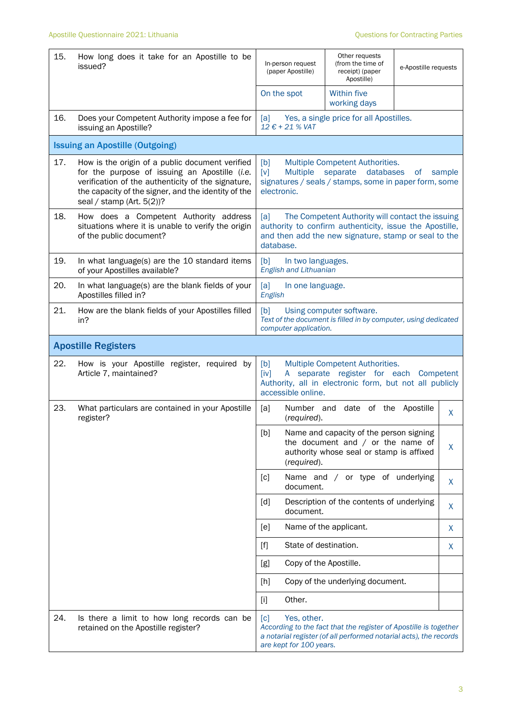| 15. | How long does it take for an Apostille to be<br>issued?                                                                                                                                                                                       | In-person request<br>(paper Apostille)                                                                                                                                                          | Other requests<br>(from the time of<br>receipt) (paper<br>Apostille)                                                                  | e-Apostille requests |    |
|-----|-----------------------------------------------------------------------------------------------------------------------------------------------------------------------------------------------------------------------------------------------|-------------------------------------------------------------------------------------------------------------------------------------------------------------------------------------------------|---------------------------------------------------------------------------------------------------------------------------------------|----------------------|----|
|     |                                                                                                                                                                                                                                               | On the spot                                                                                                                                                                                     | <b>Within five</b><br>working days                                                                                                    |                      |    |
| 16. | Does your Competent Authority impose a fee for<br>issuing an Apostille?                                                                                                                                                                       | [a]<br>12 € + 21 % VAT                                                                                                                                                                          | Yes, a single price for all Apostilles.                                                                                               |                      |    |
|     | <b>Issuing an Apostille (Outgoing)</b>                                                                                                                                                                                                        |                                                                                                                                                                                                 |                                                                                                                                       |                      |    |
| 17. | How is the origin of a public document verified<br>for the purpose of issuing an Apostille (i.e.<br>verification of the authenticity of the signature,<br>the capacity of the signer, and the identity of the<br>seal / stamp (Art. $5(2)$ )? | [b]<br>Multiple Competent Authorities.<br><b>Multiple</b><br>databases<br>$\lceil v \rceil$<br>separate<br>sample<br>of<br>signatures / seals / stamps, some in paper form, some<br>electronic. |                                                                                                                                       |                      |    |
| 18. | How does a Competent Authority address<br>situations where it is unable to verify the origin<br>of the public document?                                                                                                                       | The Competent Authority will contact the issuing<br>[a]<br>authority to confirm authenticity, issue the Apostille,<br>and then add the new signature, stamp or seal to the<br>database.         |                                                                                                                                       |                      |    |
| 19. | In what language(s) are the 10 standard items<br>of your Apostilles available?                                                                                                                                                                | [b]<br>In two languages.<br>English and Lithuanian                                                                                                                                              |                                                                                                                                       |                      |    |
| 20. | In what language(s) are the blank fields of your<br>Apostilles filled in?                                                                                                                                                                     | [a]<br>In one language.<br>English                                                                                                                                                              |                                                                                                                                       |                      |    |
| 21. | How are the blank fields of your Apostilles filled<br>in?                                                                                                                                                                                     | [b]<br>Using computer software.<br>Text of the document is filled in by computer, using dedicated<br>computer application.                                                                      |                                                                                                                                       |                      |    |
|     | <b>Apostille Registers</b>                                                                                                                                                                                                                    |                                                                                                                                                                                                 |                                                                                                                                       |                      |    |
| 22. | How is your Apostille register, required<br>by<br>Article 7, maintained?                                                                                                                                                                      | Multiple Competent Authorities.<br>[b]<br>A separate register for each Competent<br>$\lceil iv \rceil$<br>Authority, all in electronic form, but not all publicly<br>accessible online.         |                                                                                                                                       |                      |    |
| 23. | What particulars are contained in your Apostille<br>register?                                                                                                                                                                                 | [a]<br>(required).                                                                                                                                                                              | Number and date of the Apostille                                                                                                      |                      | X  |
|     |                                                                                                                                                                                                                                               | [b]<br>(required).                                                                                                                                                                              | Name and capacity of the person signing<br>the document and $/$ or the name of<br>authority whose seal or stamp is affixed            |                      | X. |
|     |                                                                                                                                                                                                                                               | [c]<br>document.                                                                                                                                                                                | Name and / or type of underlying                                                                                                      |                      | X  |
|     |                                                                                                                                                                                                                                               | [d]<br>document.                                                                                                                                                                                | Description of the contents of underlying                                                                                             |                      | X  |
|     |                                                                                                                                                                                                                                               | [e]                                                                                                                                                                                             | Name of the applicant.                                                                                                                |                      | X  |
|     |                                                                                                                                                                                                                                               | State of destination.<br>$[f]$                                                                                                                                                                  |                                                                                                                                       |                      | X  |
|     |                                                                                                                                                                                                                                               | Copy of the Apostille.<br>[g]                                                                                                                                                                   |                                                                                                                                       |                      |    |
|     |                                                                                                                                                                                                                                               | $[h]$                                                                                                                                                                                           | Copy of the underlying document.                                                                                                      |                      |    |
|     |                                                                                                                                                                                                                                               | Other.<br>$[1]$                                                                                                                                                                                 |                                                                                                                                       |                      |    |
| 24. | Is there a limit to how long records can be<br>retained on the Apostille register?                                                                                                                                                            | Yes, other.<br>$\lceil c \rceil$<br>are kept for 100 years.                                                                                                                                     | According to the fact that the register of Apostille is together<br>a notarial register (of all performed notarial acts), the records |                      |    |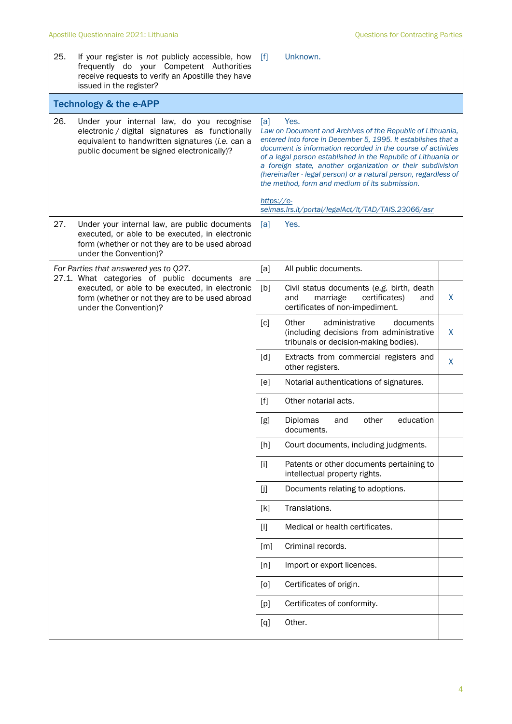| 25. | If your register is not publicly accessible, how<br>frequently do your Competent Authorities<br>receive requests to verify an Apostille they have<br>issued in the register?                   | [f]                                                                                                                                                                                                                                                                                                                                                                                                                                                                                                                                 | Unknown.                                                                                                                  |   |
|-----|------------------------------------------------------------------------------------------------------------------------------------------------------------------------------------------------|-------------------------------------------------------------------------------------------------------------------------------------------------------------------------------------------------------------------------------------------------------------------------------------------------------------------------------------------------------------------------------------------------------------------------------------------------------------------------------------------------------------------------------------|---------------------------------------------------------------------------------------------------------------------------|---|
|     | <b>Technology &amp; the e-APP</b>                                                                                                                                                              |                                                                                                                                                                                                                                                                                                                                                                                                                                                                                                                                     |                                                                                                                           |   |
| 26. | Under your internal law, do you recognise<br>electronic / digital signatures as functionally<br>equivalent to handwritten signatures (i.e. can a<br>public document be signed electronically)? | Yes.<br>[a]<br>Law on Document and Archives of the Republic of Lithuania,<br>entered into force in December 5, 1995. It establishes that a<br>document is information recorded in the course of activities<br>of a legal person established in the Republic of Lithuania or<br>a foreign state, another organization or their subdivision<br>(hereinafter - legal person) or a natural person, regardless of<br>the method, form and medium of its submission.<br>https://e-<br>seimas.lrs.lt/portal/legalAct/lt/TAD/TAIS.23066/asr |                                                                                                                           |   |
| 27. | Under your internal law, are public documents<br>executed, or able to be executed, in electronic<br>form (whether or not they are to be used abroad<br>under the Convention)?                  | [a]                                                                                                                                                                                                                                                                                                                                                                                                                                                                                                                                 | Yes.                                                                                                                      |   |
|     | For Parties that answered yes to Q27.<br>27.1. What categories of public documents are                                                                                                         | [a]                                                                                                                                                                                                                                                                                                                                                                                                                                                                                                                                 | All public documents.                                                                                                     |   |
|     | executed, or able to be executed, in electronic<br>form (whether or not they are to be used abroad<br>under the Convention)?                                                                   | [b]                                                                                                                                                                                                                                                                                                                                                                                                                                                                                                                                 | Civil status documents (e.g. birth, death<br>certificates)<br>marriage<br>and<br>and<br>certificates of non-impediment.   | X |
|     |                                                                                                                                                                                                | [c]                                                                                                                                                                                                                                                                                                                                                                                                                                                                                                                                 | Other<br>administrative<br>documents<br>(including decisions from administrative<br>tribunals or decision-making bodies). | X |
|     |                                                                                                                                                                                                | [d]                                                                                                                                                                                                                                                                                                                                                                                                                                                                                                                                 | Extracts from commercial registers and<br>other registers.                                                                | X |
|     |                                                                                                                                                                                                | [ <sub>e</sub> ]                                                                                                                                                                                                                                                                                                                                                                                                                                                                                                                    | Notarial authentications of signatures.                                                                                   |   |
|     |                                                                                                                                                                                                | [f]                                                                                                                                                                                                                                                                                                                                                                                                                                                                                                                                 | Other notarial acts.                                                                                                      |   |
|     |                                                                                                                                                                                                | [g]                                                                                                                                                                                                                                                                                                                                                                                                                                                                                                                                 | education<br>Diplomas<br>other<br>and<br>documents.                                                                       |   |
|     |                                                                                                                                                                                                | [h]                                                                                                                                                                                                                                                                                                                                                                                                                                                                                                                                 | Court documents, including judgments.                                                                                     |   |
|     |                                                                                                                                                                                                | $[1]$                                                                                                                                                                                                                                                                                                                                                                                                                                                                                                                               | Patents or other documents pertaining to<br>intellectual property rights.                                                 |   |
|     |                                                                                                                                                                                                | [j                                                                                                                                                                                                                                                                                                                                                                                                                                                                                                                                  | Documents relating to adoptions.                                                                                          |   |
|     |                                                                                                                                                                                                | [k]                                                                                                                                                                                                                                                                                                                                                                                                                                                                                                                                 | Translations.                                                                                                             |   |
|     |                                                                                                                                                                                                | $[1]$                                                                                                                                                                                                                                                                                                                                                                                                                                                                                                                               | Medical or health certificates.                                                                                           |   |
|     |                                                                                                                                                                                                | $\lceil m \rceil$                                                                                                                                                                                                                                                                                                                                                                                                                                                                                                                   | Criminal records.                                                                                                         |   |
|     |                                                                                                                                                                                                | [n]                                                                                                                                                                                                                                                                                                                                                                                                                                                                                                                                 | Import or export licences.                                                                                                |   |
|     |                                                                                                                                                                                                | [0]                                                                                                                                                                                                                                                                                                                                                                                                                                                                                                                                 | Certificates of origin.                                                                                                   |   |
|     |                                                                                                                                                                                                | [p]                                                                                                                                                                                                                                                                                                                                                                                                                                                                                                                                 | Certificates of conformity.                                                                                               |   |
|     |                                                                                                                                                                                                | [q]                                                                                                                                                                                                                                                                                                                                                                                                                                                                                                                                 | Other.                                                                                                                    |   |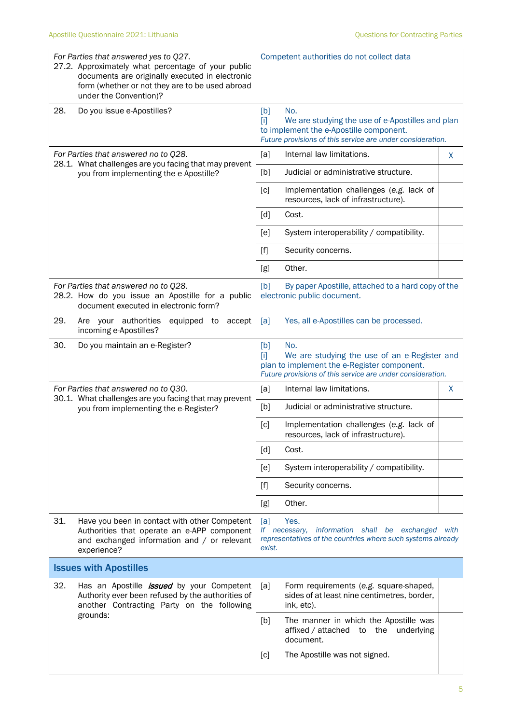|     | For Parties that answered yes to Q27.<br>27.2. Approximately what percentage of your public<br>documents are originally executed in electronic<br>form (whether or not they are to be used abroad<br>under the Convention)? | Competent authorities do not collect data                                                                                                                                                               |      |
|-----|-----------------------------------------------------------------------------------------------------------------------------------------------------------------------------------------------------------------------------|---------------------------------------------------------------------------------------------------------------------------------------------------------------------------------------------------------|------|
| 28. | Do you issue e-Apostilles?                                                                                                                                                                                                  | No.<br>[b]<br>We are studying the use of e-Apostilles and plan<br>$\left\lceil i \right\rceil$<br>to implement the e-Apostille component.<br>Future provisions of this service are under consideration. |      |
|     | For Parties that answered no to Q28.                                                                                                                                                                                        | [a]<br>Internal law limitations.                                                                                                                                                                        | X    |
|     | 28.1. What challenges are you facing that may prevent<br>you from implementing the e-Apostille?                                                                                                                             | [b]<br>Judicial or administrative structure.                                                                                                                                                            |      |
|     |                                                                                                                                                                                                                             | Implementation challenges (e.g. lack of<br>[c]<br>resources, lack of infrastructure).                                                                                                                   |      |
|     |                                                                                                                                                                                                                             | [d]<br>Cost.                                                                                                                                                                                            |      |
|     |                                                                                                                                                                                                                             | System interoperability / compatibility.<br>[e]                                                                                                                                                         |      |
|     |                                                                                                                                                                                                                             | Security concerns.<br>[f]                                                                                                                                                                               |      |
|     |                                                                                                                                                                                                                             | Other.<br>[g]                                                                                                                                                                                           |      |
|     | For Parties that answered no to Q28.<br>28.2. How do you issue an Apostille for a public<br>document executed in electronic form?                                                                                           | By paper Apostille, attached to a hard copy of the<br>[b]<br>electronic public document.                                                                                                                |      |
| 29. | Are your authorities<br>equipped to<br>accept<br>incoming e-Apostilles?                                                                                                                                                     | Yes, all e-Apostilles can be processed.<br>[a]                                                                                                                                                          |      |
| 30. | Do you maintain an e-Register?                                                                                                                                                                                              | [b]<br>No.<br>We are studying the use of an e-Register and<br>ſiΙ<br>plan to implement the e-Register component.<br>Future provisions of this service are under consideration.                          |      |
|     | For Parties that answered no to Q30.                                                                                                                                                                                        | [a]<br>Internal law limitations.                                                                                                                                                                        | X.   |
|     | 30.1. What challenges are you facing that may prevent<br>you from implementing the e-Register?                                                                                                                              | [b]<br>Judicial or administrative structure.                                                                                                                                                            |      |
|     |                                                                                                                                                                                                                             | Implementation challenges (e.g. lack of<br>[c]<br>resources, lack of infrastructure).                                                                                                                   |      |
|     |                                                                                                                                                                                                                             | [d]<br>Cost.                                                                                                                                                                                            |      |
|     |                                                                                                                                                                                                                             | [e]<br>System interoperability / compatibility.                                                                                                                                                         |      |
|     |                                                                                                                                                                                                                             | $[f]$<br>Security concerns.                                                                                                                                                                             |      |
|     |                                                                                                                                                                                                                             | Other.<br>[g]                                                                                                                                                                                           |      |
| 31. | Have you been in contact with other Competent<br>Authorities that operate an e-APP component<br>and exchanged information and / or relevant<br>experience?                                                                  | Yes.<br>[a]<br>If necessary,<br>information shall be exchanged<br>representatives of the countries where such systems already<br>exist.                                                                 | with |
|     | <b>Issues with Apostilles</b>                                                                                                                                                                                               |                                                                                                                                                                                                         |      |
| 32. | Has an Apostille <i>issued</i> by your Competent<br>Authority ever been refused by the authorities of<br>another Contracting Party on the following                                                                         | [a]<br>Form requirements (e.g. square-shaped,<br>sides of at least nine centimetres, border,<br>ink, etc).                                                                                              |      |
|     | grounds:                                                                                                                                                                                                                    | The manner in which the Apostille was<br>[b]<br>affixed / attached<br>the<br>underlying<br>to<br>document.                                                                                              |      |
|     |                                                                                                                                                                                                                             | The Apostille was not signed.<br>[c]                                                                                                                                                                    |      |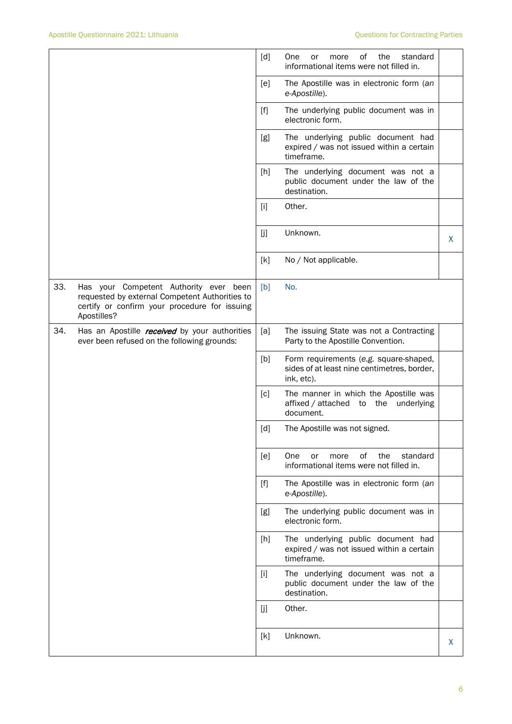|     |                                                                                                                                                          | [d]                                                                                                                                                                                                                                                 | of<br><b>One</b><br>the<br>standard<br>or<br>more<br>informational items were not filled in.        |    |
|-----|----------------------------------------------------------------------------------------------------------------------------------------------------------|-----------------------------------------------------------------------------------------------------------------------------------------------------------------------------------------------------------------------------------------------------|-----------------------------------------------------------------------------------------------------|----|
|     |                                                                                                                                                          | [e]                                                                                                                                                                                                                                                 | The Apostille was in electronic form (an<br>e-Apostille).                                           |    |
|     |                                                                                                                                                          | $[f] % \begin{center} % \includegraphics[width=\linewidth]{imagesSupplemental_3.png} % \end{center} % \caption { % Our method can be used for the use of the image. % Note that the \emph{Left:} \label{fig:case} \vspace{-1em} % \label{fig:case}$ | The underlying public document was in<br>electronic form.                                           |    |
|     |                                                                                                                                                          | [g]                                                                                                                                                                                                                                                 | The underlying public document had<br>expired / was not issued within a certain<br>timeframe.       |    |
|     |                                                                                                                                                          | [h]                                                                                                                                                                                                                                                 | The underlying document was not a<br>public document under the law of the<br>destination.           |    |
|     |                                                                                                                                                          | $[1]$                                                                                                                                                                                                                                               | Other.                                                                                              |    |
|     |                                                                                                                                                          | [j]                                                                                                                                                                                                                                                 | Unknown.                                                                                            | X  |
|     |                                                                                                                                                          | [k]                                                                                                                                                                                                                                                 | No / Not applicable.                                                                                |    |
| 33. | Has your Competent Authority ever been<br>requested by external Competent Authorities to<br>certify or confirm your procedure for issuing<br>Apostilles? | [b]                                                                                                                                                                                                                                                 | No.                                                                                                 |    |
| 34. | Has an Apostille received by your authorities<br>ever been refused on the following grounds:                                                             | [a]                                                                                                                                                                                                                                                 | The issuing State was not a Contracting<br>Party to the Apostille Convention.                       |    |
|     |                                                                                                                                                          | [b]                                                                                                                                                                                                                                                 | Form requirements (e.g. square-shaped,<br>sides of at least nine centimetres, border,<br>ink, etc). |    |
|     |                                                                                                                                                          | [c]                                                                                                                                                                                                                                                 | The manner in which the Apostille was<br>affixed / attached to the underlying<br>document.          |    |
|     |                                                                                                                                                          | [d]                                                                                                                                                                                                                                                 | The Apostille was not signed.                                                                       |    |
|     |                                                                                                                                                          | [e]                                                                                                                                                                                                                                                 | of<br>the<br>standard<br><b>One</b><br>more<br>or<br>informational items were not filled in.        |    |
|     |                                                                                                                                                          | $[f]$                                                                                                                                                                                                                                               | The Apostille was in electronic form (an<br>e-Apostille).                                           |    |
|     |                                                                                                                                                          | [g]                                                                                                                                                                                                                                                 | The underlying public document was in<br>electronic form.                                           |    |
|     |                                                                                                                                                          | [h]                                                                                                                                                                                                                                                 | The underlying public document had<br>expired / was not issued within a certain<br>timeframe.       |    |
|     |                                                                                                                                                          | $[1]$                                                                                                                                                                                                                                               | The underlying document was not a<br>public document under the law of the<br>destination.           |    |
|     |                                                                                                                                                          | [j]                                                                                                                                                                                                                                                 | Other.                                                                                              |    |
|     |                                                                                                                                                          | [k]                                                                                                                                                                                                                                                 | Unknown.                                                                                            | X. |